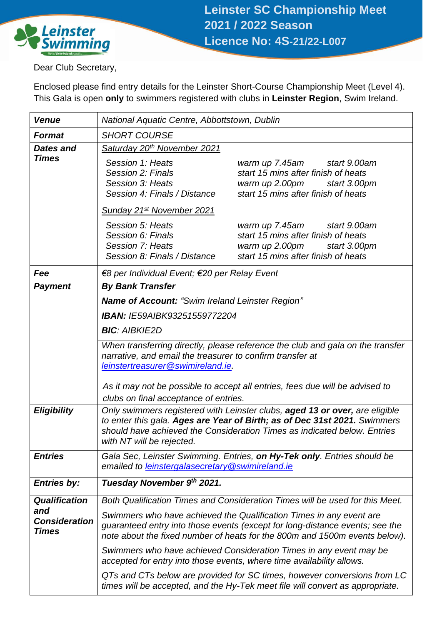

Dear Club Secretary,

Enclosed please find entry details for the Leinster Short-Course Championship Meet (Level 4). This Gala is open **only** to swimmers registered with clubs in **Leinster Region**, Swim Ireland.

| <b>Venue</b>                                | National Aquatic Centre, Abbottstown, Dublin                                                                                                                                                                                                                                         |  |  |  |  |  |  |  |  |
|---------------------------------------------|--------------------------------------------------------------------------------------------------------------------------------------------------------------------------------------------------------------------------------------------------------------------------------------|--|--|--|--|--|--|--|--|
| <b>Format</b>                               | <b>SHORT COURSE</b>                                                                                                                                                                                                                                                                  |  |  |  |  |  |  |  |  |
| <b>Dates and</b>                            | Saturday 20 <sup>th</sup> November 2021                                                                                                                                                                                                                                              |  |  |  |  |  |  |  |  |
| <b>Times</b>                                | Session 1: Heats<br>warm up 7.45am<br>start 9.00am<br>Session 2: Finals<br>start 15 mins after finish of heats<br>Session 3: Heats<br>warm up 2.00pm<br>start 3.00pm<br>start 15 mins after finish of heats<br>Session 4: Finals / Distance<br>Sunday 21 <sup>st</sup> November 2021 |  |  |  |  |  |  |  |  |
|                                             | Session 5: Heats<br>warm up 7.45am<br>start 9.00am<br>start 15 mins after finish of heats<br>Session 6: Finals<br>Session 7: Heats<br>warm up 2.00pm start 3.00pm<br>start 15 mins after finish of heats<br>Session 8: Finals / Distance                                             |  |  |  |  |  |  |  |  |
| Fee                                         | €8 per Individual Event; €20 per Relay Event                                                                                                                                                                                                                                         |  |  |  |  |  |  |  |  |
| <b>Payment</b>                              | <b>By Bank Transfer</b>                                                                                                                                                                                                                                                              |  |  |  |  |  |  |  |  |
|                                             | <b>Name of Account: "Swim Ireland Leinster Region"</b>                                                                                                                                                                                                                               |  |  |  |  |  |  |  |  |
|                                             | <b>IBAN: IE59AIBK93251559772204</b>                                                                                                                                                                                                                                                  |  |  |  |  |  |  |  |  |
|                                             | <b>BIC: AIBKIE2D</b>                                                                                                                                                                                                                                                                 |  |  |  |  |  |  |  |  |
|                                             | When transferring directly, please reference the club and gala on the transfer<br>narrative, and email the treasurer to confirm transfer at<br>leinstertreasurer@swimireland.ie.<br>As it may not be possible to accept all entries, fees due will be advised to                     |  |  |  |  |  |  |  |  |
|                                             | clubs on final acceptance of entries.                                                                                                                                                                                                                                                |  |  |  |  |  |  |  |  |
| <b>Eligibility</b>                          | Only swimmers registered with Leinster clubs, aged 13 or over, are eligible<br>to enter this gala. Ages are Year of Birth; as of Dec 31st 2021. Swimmers<br>should have achieved the Consideration Times as indicated below. Entries<br>with NT will be rejected.                    |  |  |  |  |  |  |  |  |
| <b>Entries</b>                              | Gala Sec, Leinster Swimming. Entries, on Hy-Tek only. Entries should be<br>emailed to leinstergalasecretary@swimireland.ie                                                                                                                                                           |  |  |  |  |  |  |  |  |
| <b>Entries by:</b>                          | Tuesday November 9th 2021.                                                                                                                                                                                                                                                           |  |  |  |  |  |  |  |  |
| <b>Qualification</b>                        | Both Qualification Times and Consideration Times will be used for this Meet.                                                                                                                                                                                                         |  |  |  |  |  |  |  |  |
| and<br><b>Consideration</b><br><b>Times</b> | Swimmers who have achieved the Qualification Times in any event are<br>guaranteed entry into those events (except for long-distance events; see the<br>note about the fixed number of heats for the 800m and 1500m events below).                                                    |  |  |  |  |  |  |  |  |
|                                             | Swimmers who have achieved Consideration Times in any event may be<br>accepted for entry into those events, where time availability allows.                                                                                                                                          |  |  |  |  |  |  |  |  |
|                                             | QTs and CTs below are provided for SC times, however conversions from LC<br>times will be accepted, and the Hy-Tek meet file will convert as appropriate.                                                                                                                            |  |  |  |  |  |  |  |  |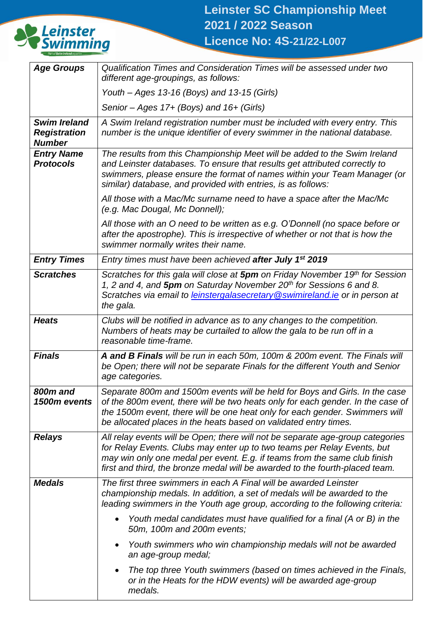

| <b>Age Groups</b>                                           | Qualification Times and Consideration Times will be assessed under two<br>different age-groupings, as follows:                                                                                                                                                                                                         |  |  |  |  |  |  |  |
|-------------------------------------------------------------|------------------------------------------------------------------------------------------------------------------------------------------------------------------------------------------------------------------------------------------------------------------------------------------------------------------------|--|--|--|--|--|--|--|
|                                                             | Youth – Ages 13-16 (Boys) and 13-15 (Girls)                                                                                                                                                                                                                                                                            |  |  |  |  |  |  |  |
|                                                             | Senior - Ages 17+ (Boys) and 16+ (Girls)                                                                                                                                                                                                                                                                               |  |  |  |  |  |  |  |
| <b>Swim Ireland</b><br><b>Registration</b><br><b>Number</b> | A Swim Ireland registration number must be included with every entry. This<br>number is the unique identifier of every swimmer in the national database.                                                                                                                                                               |  |  |  |  |  |  |  |
| <b>Entry Name</b><br><b>Protocols</b>                       | The results from this Championship Meet will be added to the Swim Ireland<br>and Leinster databases. To ensure that results get attributed correctly to<br>swimmers, please ensure the format of names within your Team Manager (or<br>similar) database, and provided with entries, is as follows:                    |  |  |  |  |  |  |  |
|                                                             | All those with a Mac/Mc surname need to have a space after the Mac/Mc<br>(e.g. Mac Dougal, Mc Donnell);                                                                                                                                                                                                                |  |  |  |  |  |  |  |
|                                                             | All those with an O need to be written as e.g. O'Donnell (no space before or<br>after the apostrophe). This is irrespective of whether or not that is how the<br>swimmer normally writes their name.                                                                                                                   |  |  |  |  |  |  |  |
| <b>Entry Times</b>                                          | Entry times must have been achieved after July 1 <sup>st</sup> 2019                                                                                                                                                                                                                                                    |  |  |  |  |  |  |  |
| <b>Scratches</b>                                            | Scratches for this gala will close at 5pm on Friday November 19th for Session<br>1, 2 and 4, and 5pm on Saturday November 20 <sup>th</sup> for Sessions 6 and 8.<br>Scratches via email to leinstergalasecretary @swimireland.ie or in person at<br>the gala.                                                          |  |  |  |  |  |  |  |
| <b>Heats</b>                                                | Clubs will be notified in advance as to any changes to the competition.<br>Numbers of heats may be curtailed to allow the gala to be run off in a<br>reasonable time-frame.                                                                                                                                            |  |  |  |  |  |  |  |
| <b>Finals</b>                                               | A and B Finals will be run in each 50m, 100m & 200m event. The Finals will<br>be Open; there will not be separate Finals for the different Youth and Senior<br>age categories.                                                                                                                                         |  |  |  |  |  |  |  |
| 800m and<br>1500m events                                    | Separate 800m and 1500m events will be held for Boys and Girls. In the case<br>of the 800m event, there will be two heats only for each gender. In the case of<br>the 1500m event, there will be one heat only for each gender. Swimmers will<br>be allocated places in the heats based on validated entry times.      |  |  |  |  |  |  |  |
| <b>Relays</b>                                               | All relay events will be Open; there will not be separate age-group categories<br>for Relay Events. Clubs may enter up to two teams per Relay Events, but<br>may win only one medal per event. E.g. if teams from the same club finish<br>first and third, the bronze medal will be awarded to the fourth-placed team. |  |  |  |  |  |  |  |
| <b>Medals</b>                                               | The first three swimmers in each A Final will be awarded Leinster<br>championship medals. In addition, a set of medals will be awarded to the<br>leading swimmers in the Youth age group, according to the following criteria:                                                                                         |  |  |  |  |  |  |  |
|                                                             | Youth medal candidates must have qualified for a final (A or B) in the<br>50m, 100m and 200m events;                                                                                                                                                                                                                   |  |  |  |  |  |  |  |
|                                                             | Youth swimmers who win championship medals will not be awarded<br>an age-group medal;                                                                                                                                                                                                                                  |  |  |  |  |  |  |  |
|                                                             | The top three Youth swimmers (based on times achieved in the Finals,<br>or in the Heats for the HDW events) will be awarded age-group<br>medals.                                                                                                                                                                       |  |  |  |  |  |  |  |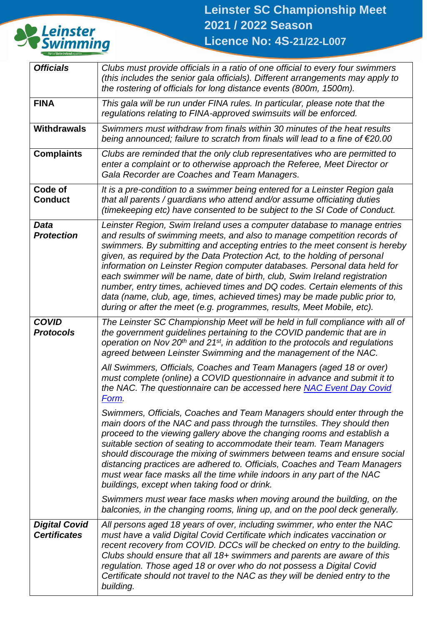

| <b>Officials</b>                            | Clubs must provide officials in a ratio of one official to every four swimmers<br>(this includes the senior gala officials). Different arrangements may apply to<br>the rostering of officials for long distance events (800m, 1500m).                                                                                                                                                                                                                                                                                                                                                                                                                                                                           |
|---------------------------------------------|------------------------------------------------------------------------------------------------------------------------------------------------------------------------------------------------------------------------------------------------------------------------------------------------------------------------------------------------------------------------------------------------------------------------------------------------------------------------------------------------------------------------------------------------------------------------------------------------------------------------------------------------------------------------------------------------------------------|
| <b>FINA</b>                                 | This gala will be run under FINA rules. In particular, please note that the<br>regulations relating to FINA-approved swimsuits will be enforced.                                                                                                                                                                                                                                                                                                                                                                                                                                                                                                                                                                 |
| <b>Withdrawals</b>                          | Swimmers must withdraw from finals within 30 minutes of the heat results<br>being announced; failure to scratch from finals will lead to a fine of €20.00                                                                                                                                                                                                                                                                                                                                                                                                                                                                                                                                                        |
| <b>Complaints</b>                           | Clubs are reminded that the only club representatives who are permitted to<br>enter a complaint or to otherwise approach the Referee, Meet Director or<br>Gala Recorder are Coaches and Team Managers.                                                                                                                                                                                                                                                                                                                                                                                                                                                                                                           |
| Code of<br><b>Conduct</b>                   | It is a pre-condition to a swimmer being entered for a Leinster Region gala<br>that all parents / guardians who attend and/or assume officiating duties<br>(timekeeping etc) have consented to be subject to the SI Code of Conduct.                                                                                                                                                                                                                                                                                                                                                                                                                                                                             |
| <b>Data</b><br><b>Protection</b>            | Leinster Region, Swim Ireland uses a computer database to manage entries<br>and results of swimming meets, and also to manage competition records of<br>swimmers. By submitting and accepting entries to the meet consent is hereby<br>given, as required by the Data Protection Act, to the holding of personal<br>information on Leinster Region computer databases. Personal data held for<br>each swimmer will be name, date of birth, club, Swim Ireland registration<br>number, entry times, achieved times and DQ codes. Certain elements of this<br>data (name, club, age, times, achieved times) may be made public prior to,<br>during or after the meet (e.g. programmes, results, Meet Mobile, etc). |
| <b>COVID</b><br><b>Protocols</b>            | The Leinster SC Championship Meet will be held in full compliance with all of<br>the government guidelines pertaining to the COVID pandemic that are in<br>operation on Nov $20th$ and $21st$ , in addition to the protocols and regulations<br>agreed between Leinster Swimming and the management of the NAC.                                                                                                                                                                                                                                                                                                                                                                                                  |
|                                             | All Swimmers, Officials, Coaches and Team Managers (aged 18 or over)<br>must complete (online) a COVID questionnaire in advance and submit it to<br>the NAC. The questionnaire can be accessed here NAC Event Day Covid<br>Form.                                                                                                                                                                                                                                                                                                                                                                                                                                                                                 |
|                                             | Swimmers, Officials, Coaches and Team Managers should enter through the<br>main doors of the NAC and pass through the turnstiles. They should then<br>proceed to the viewing gallery above the changing rooms and establish a<br>suitable section of seating to accommodate their team. Team Managers<br>should discourage the mixing of swimmers between teams and ensure social<br>distancing practices are adhered to. Officials, Coaches and Team Managers<br>must wear face masks all the time while indoors in any part of the NAC<br>buildings, except when taking food or drink.                                                                                                                         |
|                                             | Swimmers must wear face masks when moving around the building, on the<br>balconies, in the changing rooms, lining up, and on the pool deck generally.                                                                                                                                                                                                                                                                                                                                                                                                                                                                                                                                                            |
| <b>Digital Covid</b><br><b>Certificates</b> | All persons aged 18 years of over, including swimmer, who enter the NAC<br>must have a valid Digital Covid Certificate which indicates vaccination or<br>recent recovery from COVID. DCCs will be checked on entry to the building.<br>Clubs should ensure that all 18+ swimmers and parents are aware of this<br>regulation. Those aged 18 or over who do not possess a Digital Covid<br>Certificate should not travel to the NAC as they will be denied entry to the<br>building.                                                                                                                                                                                                                              |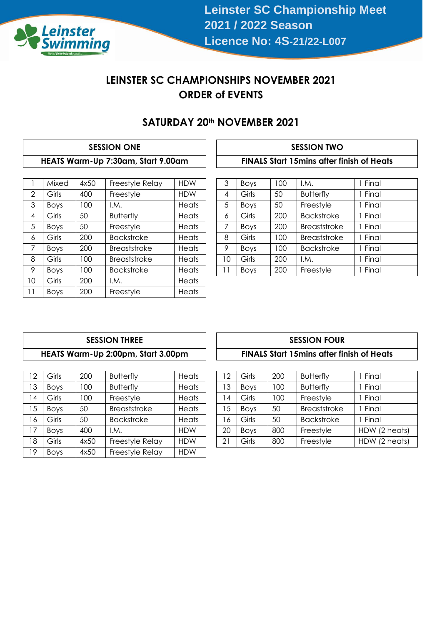

## **LEINSTER SC CHAMPIONSHIPS NOVEMBER 2021 ORDER of EVENTS**

### **SATURDAY 20th NOVEMBER 2021**

### **SESSION ONE SESSION TWO HEATS Warm-Up 7:30am, Start 9.00am FINALS Start 15mins after finish of Heats**

|    | Mixed       | 4x50 | Freestyle Relay     | <b>HDW</b> |  | 3  | Boys        | 100 | I.M.                | Final   |                     |       |
|----|-------------|------|---------------------|------------|--|----|-------------|-----|---------------------|---------|---------------------|-------|
| 2  | Girls       | 400  | Freestyle           | <b>HDW</b> |  | 4  | Girls       | 50  | <b>Butterfly</b>    | Final   |                     |       |
| 3  | <b>Boys</b> | 100  | I.M.                | Heats      |  | 5  | Boys        | 50  | Freestyle           | Final   |                     |       |
| 4  | Girls       | 50   | <b>Butterfly</b>    | Heats      |  | 6  | Girls       | 200 | <b>Backstroke</b>   | I Final |                     |       |
| 5  | <b>Boys</b> | 50   | Freestyle           | Heats      |  | 7  | <b>Boys</b> | 200 | <b>Breaststroke</b> | Final   |                     |       |
| 6  | Girls       | 200  | <b>Backstroke</b>   | Heats      |  |    |             | 8   | Girls               | 100     | <b>Breaststroke</b> | Final |
| 7  | <b>Boys</b> | 200  | Breaststroke        | Heats      |  | 9  | <b>Boys</b> | 100 | <b>Backstroke</b>   | Final   |                     |       |
| 8  | Girls       | 100  | <b>Breaststroke</b> | Heats      |  | 10 | Girls       | 200 | I.M.                | I Final |                     |       |
| 9  | <b>Boys</b> | 100  | <b>Backstroke</b>   | Heats      |  | 11 | <b>Boys</b> | 200 | Freestyle           | Final   |                     |       |
| 10 | Girls       | 200  | I.M.                | Heats      |  |    |             |     |                     |         |                     |       |
| 11 | <b>Boys</b> | 200  | Freestyle           | Heats      |  |    |             |     |                     |         |                     |       |

| 3  | <b>Boys</b> | 100 | I.M.                | 1 Final |
|----|-------------|-----|---------------------|---------|
| 4  | Girls       | 50  | <b>Butterfly</b>    | 1 Final |
| 5  | <b>Boys</b> | 50  | Freestyle           | 1 Final |
| 6  | Girls       | 200 | <b>Backstroke</b>   | 1 Final |
| 7  | <b>Boys</b> | 200 | <b>Breaststroke</b> | 1 Final |
| 8  | Girls       | 100 | <b>Breaststroke</b> | 1 Final |
| 9  | <b>Boys</b> | 100 | <b>Backstroke</b>   | 1 Final |
| 10 | Girls       | 200 | I.M.                | 1 Final |
| 11 | <b>Boys</b> | 200 | Freestyle           | 1 Final |

#### **SESSION THREE SESSION FOUR HEATS Warm-Up 2:00pm, Start 3.00pm FINALS Start 15mins after finish of Heats**

| 12 | Girls       | 200  | <b>Butterfly</b>  | Heats      | 12 | Girls       | 200 | <b>Butterfly</b>    | Final |
|----|-------------|------|-------------------|------------|----|-------------|-----|---------------------|-------|
| 13 | <b>Boys</b> | 100  | <b>Butterfly</b>  | Heats      | 13 | <b>Boys</b> | 100 | <b>Butterfly</b>    | Final |
| 14 | Girls       | 100  | Freestyle         | Heats      | 4  | Girls       | 100 | Freestyle           | Final |
| 15 | <b>Boys</b> | 50   | Breaststroke      | Heats      | 15 | <b>Boys</b> | 50  | <b>Breaststroke</b> | Final |
| 16 | Girls       | 50   | <b>Backstroke</b> | Heats      | 16 | Girls       | 50  | <b>Backstroke</b>   | Final |
| 17 | <b>Boys</b> | 400  | I.M.              | <b>HDW</b> | 20 | <b>Boys</b> | 800 | Freestyle           | HDW ( |
| 18 | Girls       | 4x50 | Freestyle Relay   | <b>HDW</b> | 21 | Girls       | 800 | Freestyle           | HDW ( |
| 19 | <b>Boys</b> | 4x50 | Freestyle Relay   | <b>HDW</b> |    |             |     |                     |       |
|    |             |      |                   |            |    |             |     |                     |       |

| 12 | Girls       | 200  | <b>Butterfly</b>  | Heats      | $\overline{2}$ | Girls       | 200 | <b>Butterfly</b>  | Final         |
|----|-------------|------|-------------------|------------|----------------|-------------|-----|-------------------|---------------|
| 13 | <b>Boys</b> | 100  | <b>Butterfly</b>  | Heats      | 3              | <b>Boys</b> | 100 | <b>Butterfly</b>  | Final         |
| 14 | Girls       | 100  | Freestyle         | Heats      | 4              | Girls       | 100 | Freestyle         | Final         |
| 15 | <b>Boys</b> | 50   | Breaststroke      | Heats      | 5              | <b>Boys</b> | 50  | Breaststroke      | Final         |
| 16 | Girls       | 50   | <b>Backstroke</b> | Heats      | 6              | Girls       | 50  | <b>Backstroke</b> | Final         |
| 17 | <b>Boys</b> | 400  | I.M.              | <b>HDW</b> | 20             | <b>Boys</b> | 800 | Freestyle         | HDW (2 heats) |
| 18 | Girls       | 4x50 | Freestyle Relay   | <b>HDW</b> | 21             | Girls       | 800 | Freestyle         | HDW (2 heats) |
|    |             |      |                   |            |                |             |     |                   |               |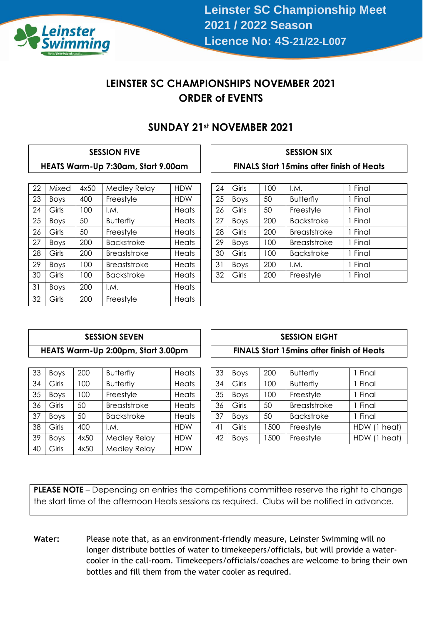

## **LEINSTER SC CHAMPIONSHIPS NOVEMBER 2021 ORDER of EVENTS**

### **SUNDAY 21st NOVEMBER 2021**

#### **SESSION FIVE SESSION SIX HEATS Warm-Up 7:30am, Start 9.00am FINALS Start 15mins after finish of Heats**

| 22 | Mixed       | 4x50 | Medley Relay        | <b>HDW</b> | 24 | Girls       | 100 | I.M.                | 1 Final |
|----|-------------|------|---------------------|------------|----|-------------|-----|---------------------|---------|
| 23 | <b>Boys</b> | 400  | Freestyle           | <b>HDW</b> | 25 | Boys        | 50  | <b>Butterfly</b>    | Fina    |
| 24 | Girls       | 100  | I.M.                | Heats      | 26 | Girls       | 50  | Freestyle           | Final   |
| 25 | <b>Boys</b> | 50   | <b>Butterfly</b>    | Heats      | 27 | <b>Boys</b> | 200 | <b>Backstroke</b>   | 1 Final |
| 26 | Girls       | 50   | Freestyle           | Heats      | 28 | Girls       | 200 | Breaststroke        | Fina    |
| 27 | <b>Boys</b> | 200  | <b>Backstroke</b>   | Heats      | 29 | <b>Boys</b> | 100 | <b>Breaststroke</b> | 1 Final |
| 28 | Girls       | 200  | <b>Breaststroke</b> | Heats      | 30 | Girls       | 100 | <b>Backstroke</b>   | 1 Final |
| 29 | <b>Boys</b> | 100  | Breaststroke        | Heats      | 31 | <b>Boys</b> | 200 | I.M.                | Fina    |
| 30 | Girls       | 100  | <b>Backstroke</b>   | Heats      | 32 | Girls       | 200 | Freestyle           | 1 Final |
| 31 | <b>Boys</b> | 200  | I.M.                | Heats      |    |             |     |                     |         |
| 32 | Girls       | 200  | Freestyle           | Heats      |    |             |     |                     |         |

| 24 | Girls       | 100 | I.M.                | 1 Final |
|----|-------------|-----|---------------------|---------|
|    |             |     |                     |         |
| 25 | <b>Boys</b> | 50  | <b>Butterfly</b>    | 1 Final |
| 26 | Girls       | 50  | Freestyle           | 1 Final |
| 27 | <b>Boys</b> | 200 | <b>Backstroke</b>   | 1 Final |
| 28 | Girls       | 200 | <b>Breaststroke</b> | 1 Final |
| 29 | <b>Boys</b> | 100 | <b>Breaststroke</b> | 1 Final |
| 30 | Girls       | 100 | <b>Backstroke</b>   | 1 Final |
| 31 | <b>Boys</b> | 200 | I.M.                | 1 Final |
| 32 | Girls       | 200 | Freestyle           | 1 Final |

### **SESSION SEVEN HEATS Warm-Up 2:00pm, Start 3.00pm**

| 33 | <b>Boys</b> | 200  | <b>Butterfly</b>  | Heats      | 33             | <b>Boys</b> | 200  | <b>Butterfly</b>  | Final |
|----|-------------|------|-------------------|------------|----------------|-------------|------|-------------------|-------|
| 34 | Girls       | 100  | <b>Butterfly</b>  | Heats      | 34             | Girls       | 100  | <b>Butterfly</b>  | Final |
| 35 | <b>Boys</b> | 100  | Freestyle         | Heats      | 35             | <b>Boys</b> | 100  | Freestyle         | Final |
| 36 | Girls       | 50   | Breaststroke      | Heats      | 36             | Girls       | 50   | Breaststroke      | Final |
| 37 | <b>Boys</b> | 50   | <b>Backstroke</b> | Heats      | 37             | <b>Boys</b> | 50   | <b>Backstroke</b> | Final |
| 38 | Girls       | 400  | I.M.              | <b>HDW</b> | $\overline{4}$ | Girls       | 1500 | Freestyle         | HDW ( |
| 39 | <b>Boys</b> | 4x50 | Medley Relay      | <b>HDW</b> | 42             | Boys        | 500  | Freestyle         | HDW ( |
| 40 | Girls       | 4x50 | Medley Relay      | <b>HDW</b> |                |             |      |                   |       |
|    |             |      |                   |            |                |             |      |                   |       |

| <b>SESSION EIGHT</b>                              |  |
|---------------------------------------------------|--|
| <b>FINALS Start 15 mins after finish of Heats</b> |  |

| 33 | <b>Boys</b> | 200  | <b>Butterfly</b>  | Heats      | 33          | <b>Boys</b> | 200 | <b>Butterfly</b>  | Final        |
|----|-------------|------|-------------------|------------|-------------|-------------|-----|-------------------|--------------|
| 34 | Girls       | 100  | <b>Butterfly</b>  | Heats      | 34          | Girls       | 100 | <b>Butterfly</b>  | Final        |
| 35 | <b>Boys</b> | 00   | Freestyle         | Heats      | 35          | <b>Boys</b> | 100 | Freestyle         | Final        |
| 36 | Girls       | 50   | Breaststroke      | Heats      | 36          | Girls       | 50  | Breaststroke      | Final        |
| 37 | <b>Boys</b> | 50   | <b>Backstroke</b> | Heats      | 37          | <b>Boys</b> | 50  | <b>Backstroke</b> | Final        |
| 38 | Girls       | 400  | I.M.              | <b>HDW</b> | $4^{\circ}$ | Girls       | 500 | Freestyle         | HDW (1 heat) |
| 39 | <b>Boys</b> | 4x50 | Medley Relay      | <b>HDW</b> | 42          | <b>Boys</b> | 500 | Freestyle         | HDW (1 heat) |
|    |             |      |                   |            |             |             |     |                   |              |

**PLEASE NOTE** – Depending on entries the competitions committee reserve the right to change the start time of the afternoon Heats sessions as required. Clubs will be notified in advance.

**Water:** Please note that, as an environment-friendly measure, Leinster Swimming will no longer distribute bottles of water to timekeepers/officials, but will provide a watercooler in the call-room. Timekeepers/officials/coaches are welcome to bring their own bottles and fill them from the water cooler as required.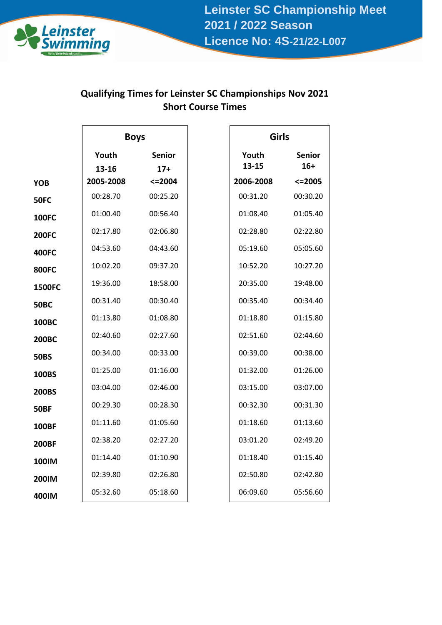

# **Qualifying Times for Leinster SC Championships Nov 2021 Short Course Times**

|               | <b>Boys</b>        |                     | Girls              |                        |
|---------------|--------------------|---------------------|--------------------|------------------------|
|               | Youth              | <b>Senior</b>       | Youth<br>$13 - 15$ | <b>Senior</b><br>$16+$ |
| <b>YOB</b>    | 13-16<br>2005-2008 | $17+$<br>$< = 2004$ | 2006-2008          | $<=$ 2005              |
|               | 00:28.70           | 00:25.20            | 00:31.20           | 00:30.20               |
| <b>50FC</b>   |                    |                     |                    |                        |
| <b>100FC</b>  | 01:00.40           | 00:56.40            | 01:08.40           | 01:05.40               |
| <b>200FC</b>  | 02:17.80           | 02:06.80            | 02:28.80           | 02:22.80               |
| <b>400FC</b>  | 04:53.60           | 04:43.60            | 05:19.60           | 05:05.60               |
| <b>800FC</b>  | 10:02.20           | 09:37.20            | 10:52.20           | 10:27.20               |
| <b>1500FC</b> | 19:36.00           | 18:58.00            | 20:35.00           | 19:48.00               |
| <b>50BC</b>   | 00:31.40           | 00:30.40            | 00:35.40           | 00:34.40               |
| 100BC         | 01:13.80           | 01:08.80            | 01:18.80           | 01:15.80               |
| <b>200BC</b>  | 02:40.60           | 02:27.60            | 02:51.60           | 02:44.60               |
| <b>50BS</b>   | 00:34.00           | 00:33.00            | 00:39.00           | 00:38.00               |
| 100BS         | 01:25.00           | 01:16.00            | 01:32.00           | 01:26.00               |
| <b>200BS</b>  | 03:04.00           | 02:46.00            | 03:15.00           | 03:07.00               |
| <b>50BF</b>   | 00:29.30           | 00:28.30            | 00:32.30           | 00:31.30               |
| <b>100BF</b>  | 01:11.60           | 01:05.60            | 01:18.60           | 01:13.60               |
| <b>200BF</b>  | 02:38.20           | 02:27.20            | 03:01.20           | 02:49.20               |
| 100IM         | 01:14.40           | 01:10.90            | 01:18.40           | 01:15.40               |
| <b>200IM</b>  | 02:39.80           | 02:26.80            | 02:50.80           | 02:42.80               |
| 400IM         | 05:32.60           | 05:18.60            | 06:09.60           | 05:56.60               |